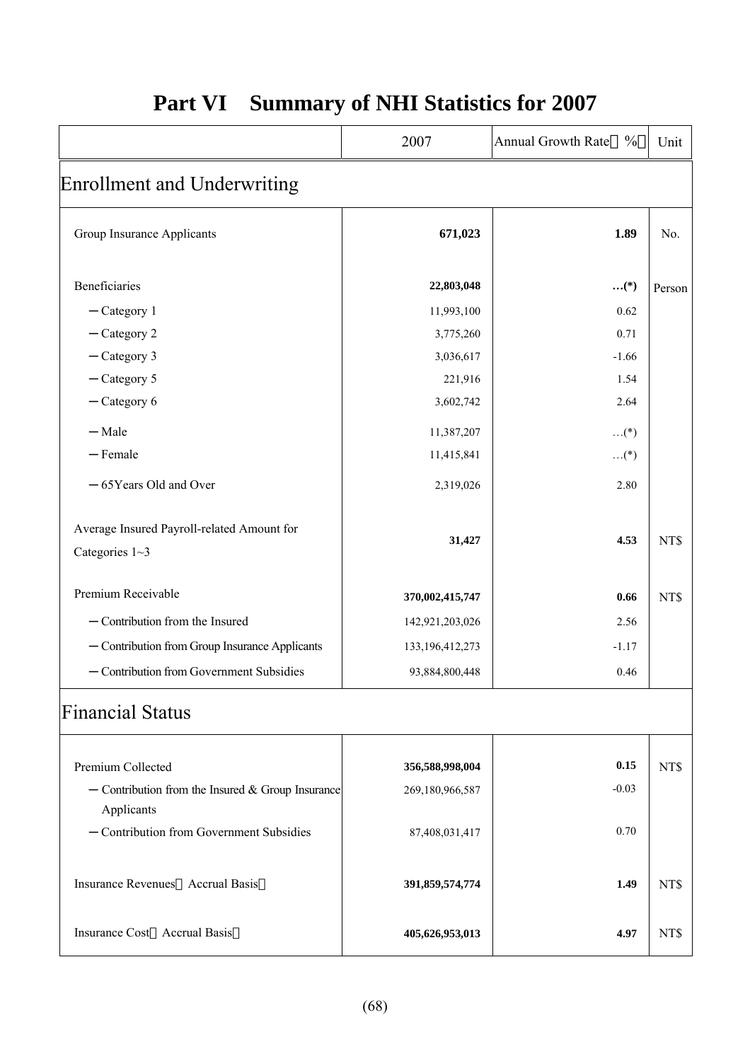|                                                                     | 2007               | Annual Growth Rate<br>$\frac{0}{0}$ | Unit   |
|---------------------------------------------------------------------|--------------------|-------------------------------------|--------|
| Enrollment and Underwriting                                         |                    |                                     |        |
| Group Insurance Applicants                                          | 671,023            | 1.89                                | No.    |
| Beneficiaries                                                       | 22,803,048         | $\boldsymbol{}^{(*)}$               | Person |
| $-$ Category 1                                                      | 11,993,100         | 0.62                                |        |
| $-$ Category 2                                                      | 3,775,260          | 0.71                                |        |
| $-$ Category 3                                                      | 3,036,617          | $-1.66$                             |        |
| $-$ Category 5                                                      | 221,916            | 1.54                                |        |
| $-$ Category 6                                                      | 3,602,742          | 2.64                                |        |
| $-Male$                                                             | 11,387,207         | $\dots$ (*)                         |        |
| $-$ Female                                                          | 11,415,841         | $\dots$ (*)                         |        |
| -65Years Old and Over                                               | 2,319,026          | 2.80                                |        |
| Average Insured Payroll-related Amount for<br>Categories $1 \sim 3$ | 31,427             | 4.53                                | NT\$   |
| Premium Receivable                                                  | 370,002,415,747    | 0.66                                | NT\$   |
| - Contribution from the Insured                                     | 142,921,203,026    | 2.56                                |        |
| - Contribution from Group Insurance Applicants                      | 133, 196, 412, 273 | $-1.17$                             |        |
| - Contribution from Government Subsidies                            | 93,884,800,448     | 0.46                                |        |
| <b>Financial Status</b>                                             |                    |                                     |        |
|                                                                     |                    |                                     |        |
| Premium Collected                                                   | 356,588,998,004    | 0.15<br>$-0.03$                     | NT\$   |
| $-$ Contribution from the Insured & Group Insurance<br>Applicants   | 269,180,966,587    |                                     |        |
| - Contribution from Government Subsidies                            | 87,408,031,417     | 0.70                                |        |
| Insurance Revenues Accrual Basis                                    | 391,859,574,774    | 1.49                                | NT\$   |
| Insurance Cost Accrual Basis                                        | 405,626,953,013    | 4.97                                | NT\$   |

## **Part VI Summary of NHI Statistics for 2007**